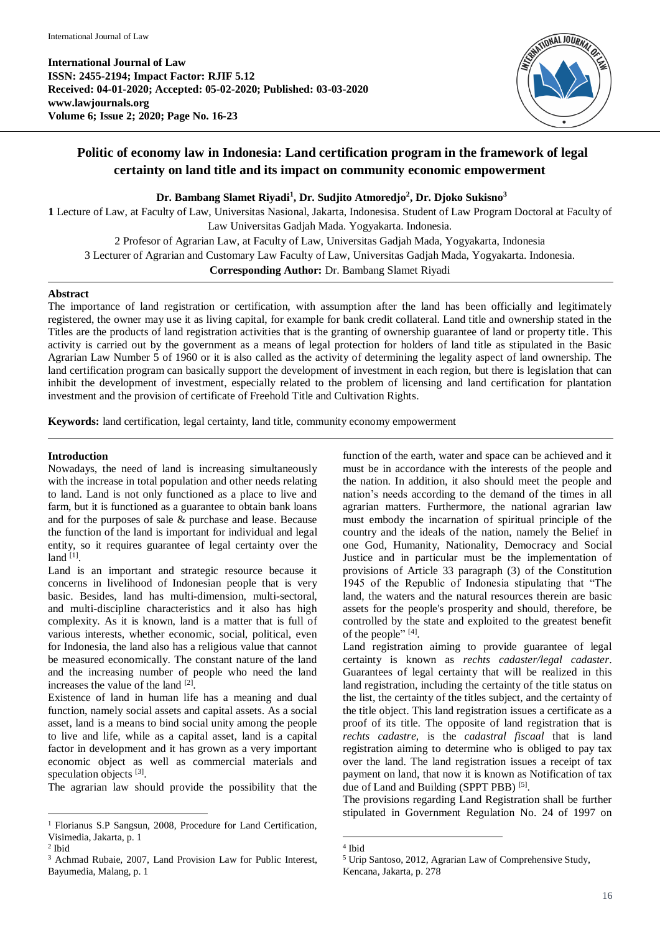**International Journal of Law ISSN: 2455-2194; Impact Factor: RJIF 5.12 Received: 04-01-2020; Accepted: 05-02-2020; Published: 03-03-2020 www.lawjournals.org Volume 6; Issue 2; 2020; Page No. 16-23**



# **Politic of economy law in Indonesia: Land certification program in the framework of legal certainty on land title and its impact on community economic empowerment**

**Dr. Bambang Slamet Riyadi<sup>1</sup> , Dr. Sudjito Atmoredjo<sup>2</sup> , Dr. Djoko Sukisno<sup>3</sup>**

**1** Lecture of Law, at Faculty of Law, Universitas Nasional, Jakarta, Indonesisa. Student of Law Program Doctoral at Faculty of Law Universitas Gadjah Mada. Yogyakarta. Indonesia.

2 Profesor of Agrarian Law, at Faculty of Law, Universitas Gadjah Mada, Yogyakarta, Indonesia 3 Lecturer of Agrarian and Customary Law Faculty of Law, Universitas Gadjah Mada, Yogyakarta. Indonesia.

**Corresponding Author:** Dr. Bambang Slamet Riyadi

#### **Abstract**

The importance of land registration or certification, with assumption after the land has been officially and legitimately registered, the owner may use it as living capital, for example for bank credit collateral. Land title and ownership stated in the Titles are the products of land registration activities that is the granting of ownership guarantee of land or property title. This activity is carried out by the government as a means of legal protection for holders of land title as stipulated in the Basic Agrarian Law Number 5 of 1960 or it is also called as the activity of determining the legality aspect of land ownership. The land certification program can basically support the development of investment in each region, but there is legislation that can inhibit the development of investment, especially related to the problem of licensing and land certification for plantation investment and the provision of certificate of Freehold Title and Cultivation Rights.

**Keywords:** land certification, legal certainty, land title, community economy empowerment

# **Introduction**

Nowadays, the need of land is increasing simultaneously with the increase in total population and other needs relating to land. Land is not only functioned as a place to live and farm, but it is functioned as a guarantee to obtain bank loans and for the purposes of sale & purchase and lease. Because the function of the land is important for individual and legal entity, so it requires guarantee of legal certainty over the land  $^{[1]}$ .

Land is an important and strategic resource because it concerns in livelihood of Indonesian people that is very basic. Besides, land has multi-dimension, multi-sectoral, and multi-discipline characteristics and it also has high complexity. As it is known, land is a matter that is full of various interests, whether economic, social, political, even for Indonesia, the land also has a religious value that cannot be measured economically. The constant nature of the land and the increasing number of people who need the land increases the value of the land [2].

Existence of land in human life has a meaning and dual function, namely social assets and capital assets. As a social asset, land is a means to bind social unity among the people to live and life, while as a capital asset, land is a capital factor in development and it has grown as a very important economic object as well as commercial materials and speculation objects [3].

The agrarian law should provide the possibility that the

l

function of the earth, water and space can be achieved and it must be in accordance with the interests of the people and the nation. In addition, it also should meet the people and nation's needs according to the demand of the times in all agrarian matters. Furthermore, the national agrarian law must embody the incarnation of spiritual principle of the country and the ideals of the nation, namely the Belief in one God, Humanity, Nationality, Democracy and Social Justice and in particular must be the implementation of provisions of Article 33 paragraph (3) of the Constitution 1945 of the Republic of Indonesia stipulating that "The land, the waters and the natural resources therein are basic assets for the people's prosperity and should, therefore, be controlled by the state and exploited to the greatest benefit of the people"<sup>[4]</sup>.

Land registration aiming to provide guarantee of legal certainty is known as *rechts cadaster/legal cadaster*. Guarantees of legal certainty that will be realized in this land registration, including the certainty of the title status on the list, the certainty of the titles subject, and the certainty of the title object. This land registration issues a certificate as a proof of its title. The opposite of land registration that is *rechts cadastre,* is the *cadastral fiscaal* that is land registration aiming to determine who is obliged to pay tax over the land. The land registration issues a receipt of tax payment on land, that now it is known as Notification of tax due of Land and Building (SPPT PBB)<sup>[5]</sup>.

The provisions regarding Land Registration shall be further stipulated in Government Regulation No. 24 of 1997 on

<sup>1</sup> Florianus S.P Sangsun, 2008, Procedure for Land Certification, Visimedia, Jakarta, p. 1

<sup>2</sup> Ibid

<sup>&</sup>lt;sup>3</sup> Achmad Rubaie, 2007, Land Provision Law for Public Interest, Bayumedia, Malang, p. 1

 4 Ibid

<sup>5</sup> Urip Santoso, 2012, Agrarian Law of Comprehensive Study, Kencana, Jakarta, p. 278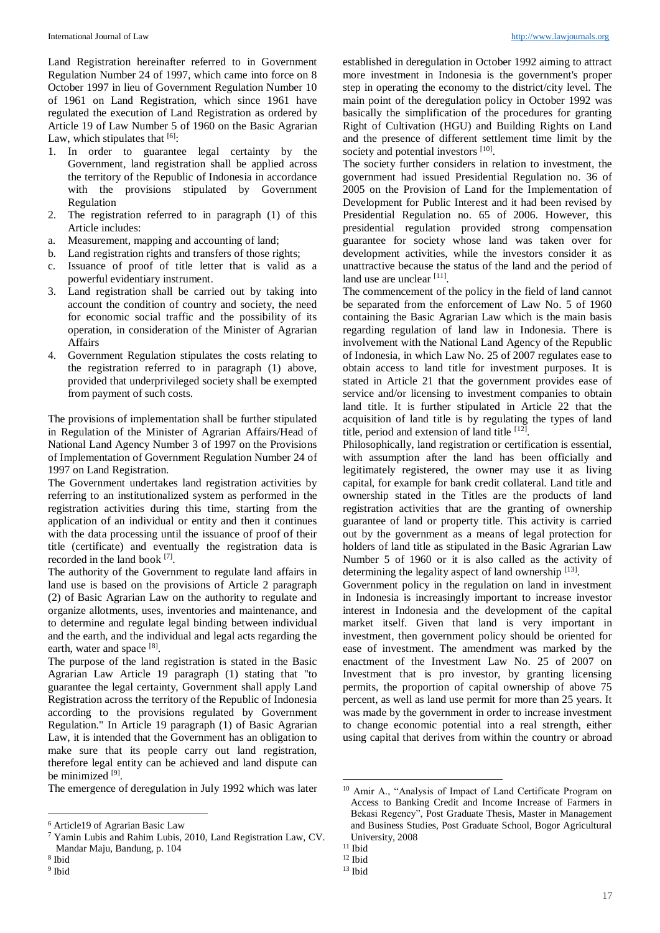Land Registration hereinafter referred to in Government Regulation Number 24 of 1997, which came into force on 8 October 1997 in lieu of Government Regulation Number 10 of 1961 on Land Registration, which since 1961 have regulated the execution of Land Registration as ordered by Article 19 of Law Number 5 of 1960 on the Basic Agrarian Law, which stipulates that  $[6]$ :

- 1. In order to guarantee legal certainty by the Government, land registration shall be applied across the territory of the Republic of Indonesia in accordance with the provisions stipulated by Government Regulation
- 2. The registration referred to in paragraph (1) of this Article includes:
- a. Measurement, mapping and accounting of land;
- b. Land registration rights and transfers of those rights;
- c. Issuance of proof of title letter that is valid as a powerful evidentiary instrument.
- 3. Land registration shall be carried out by taking into account the condition of country and society, the need for economic social traffic and the possibility of its operation, in consideration of the Minister of Agrarian Affairs
- 4. Government Regulation stipulates the costs relating to the registration referred to in paragraph (1) above, provided that underprivileged society shall be exempted from payment of such costs.

The provisions of implementation shall be further stipulated in Regulation of the Minister of Agrarian Affairs/Head of National Land Agency Number 3 of 1997 on the Provisions of Implementation of Government Regulation Number 24 of 1997 on Land Registration.

The Government undertakes land registration activities by referring to an institutionalized system as performed in the registration activities during this time, starting from the application of an individual or entity and then it continues with the data processing until the issuance of proof of their title (certificate) and eventually the registration data is recorded in the land book [7].

The authority of the Government to regulate land affairs in land use is based on the provisions of Article 2 paragraph (2) of Basic Agrarian Law on the authority to regulate and organize allotments, uses, inventories and maintenance, and to determine and regulate legal binding between individual and the earth, and the individual and legal acts regarding the earth, water and space [8].

The purpose of the land registration is stated in the Basic Agrarian Law Article 19 paragraph (1) stating that "to guarantee the legal certainty, Government shall apply Land Registration across the territory of the Republic of Indonesia according to the provisions regulated by Government Regulation." In Article 19 paragraph (1) of Basic Agrarian Law, it is intended that the Government has an obligation to make sure that its people carry out land registration, therefore legal entity can be achieved and land dispute can be minimized [9].

The emergence of deregulation in July 1992 which was later

l

9 Ibid

established in deregulation in October 1992 aiming to attract more investment in Indonesia is the government's proper step in operating the economy to the district/city level. The main point of the deregulation policy in October 1992 was basically the simplification of the procedures for granting Right of Cultivation (HGU) and Building Rights on Land and the presence of different settlement time limit by the society and potential investors [10].

The society further considers in relation to investment, the government had issued Presidential Regulation no. 36 of 2005 on the Provision of Land for the Implementation of Development for Public Interest and it had been revised by Presidential Regulation no. 65 of 2006. However, this presidential regulation provided strong compensation guarantee for society whose land was taken over for development activities, while the investors consider it as unattractive because the status of the land and the period of land use are unclear [11].

The commencement of the policy in the field of land cannot be separated from the enforcement of Law No. 5 of 1960 containing the Basic Agrarian Law which is the main basis regarding regulation of land law in Indonesia. There is involvement with the National Land Agency of the Republic of Indonesia, in which Law No. 25 of 2007 regulates ease to obtain access to land title for investment purposes. It is stated in Article 21 that the government provides ease of service and/or licensing to investment companies to obtain land title. It is further stipulated in Article 22 that the acquisition of land title is by regulating the types of land title, period and extension of land title [12].

Philosophically, land registration or certification is essential, with assumption after the land has been officially and legitimately registered, the owner may use it as living capital, for example for bank credit collateral. Land title and ownership stated in the Titles are the products of land registration activities that are the granting of ownership guarantee of land or property title. This activity is carried out by the government as a means of legal protection for holders of land title as stipulated in the Basic Agrarian Law Number 5 of 1960 or it is also called as the activity of determining the legality aspect of land ownership [13].

Government policy in the regulation on land in investment in Indonesia is increasingly important to increase investor interest in Indonesia and the development of the capital market itself. Given that land is very important in investment, then government policy should be oriented for ease of investment. The amendment was marked by the enactment of the Investment Law No. 25 of 2007 on Investment that is pro investor, by granting licensing permits, the proportion of capital ownership of above 75 percent, as well as land use permit for more than 25 years. It was made by the government in order to increase investment to change economic potential into a real strength, either using capital that derives from within the country or abroad

.

<sup>6</sup> Article19 of Agrarian Basic Law

<sup>7</sup> Yamin Lubis and Rahim Lubis, 2010, Land Registration Law, CV. Mandar Maju, Bandung, p. 104

<sup>8</sup> Ibid

<sup>10</sup> Amir A., "Analysis of Impact of Land Certificate Program on Access to Banking Credit and Income Increase of Farmers in Bekasi Regency", Post Graduate Thesis, Master in Management and Business Studies, Post Graduate School, Bogor Agricultural University, 2008

 $^{\rm 11}$ Ibid

<sup>12</sup> Ibid

 $13$  Ibid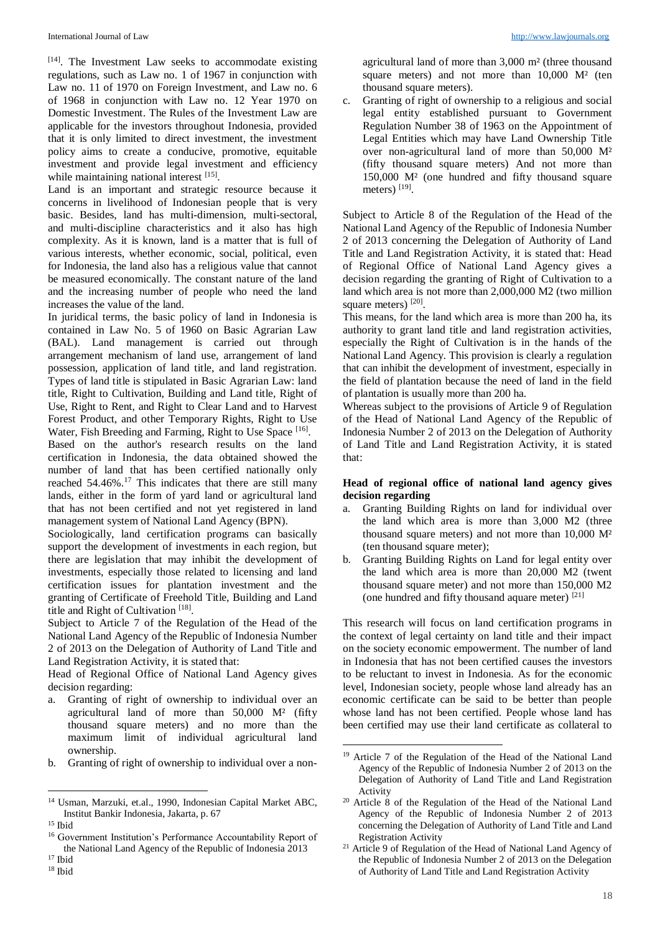[14] . The Investment Law seeks to accommodate existing regulations, such as Law no. 1 of 1967 in conjunction with Law no. 11 of 1970 on Foreign Investment, and Law no. 6 of 1968 in conjunction with Law no. 12 Year 1970 on Domestic Investment. The Rules of the Investment Law are applicable for the investors throughout Indonesia, provided that it is only limited to direct investment, the investment policy aims to create a conducive, promotive, equitable investment and provide legal investment and efficiency while maintaining national interest [15].

Land is an important and strategic resource because it concerns in livelihood of Indonesian people that is very basic. Besides, land has multi-dimension, multi-sectoral, and multi-discipline characteristics and it also has high complexity. As it is known, land is a matter that is full of various interests, whether economic, social, political, even for Indonesia, the land also has a religious value that cannot be measured economically. The constant nature of the land and the increasing number of people who need the land increases the value of the land.

In juridical terms, the basic policy of land in Indonesia is contained in Law No. 5 of 1960 on Basic Agrarian Law (BAL). Land management is carried out through arrangement mechanism of land use, arrangement of land possession, application of land title, and land registration. Types of land title is stipulated in Basic Agrarian Law: land title, Right to Cultivation, Building and Land title, Right of Use, Right to Rent, and Right to Clear Land and to Harvest Forest Product, and other Temporary Rights, Right to Use Water, Fish Breeding and Farming, Right to Use Space [16].

Based on the author's research results on the land certification in Indonesia, the data obtained showed the number of land that has been certified nationally only reached 54.46%.<sup>17</sup> This indicates that there are still many lands, either in the form of yard land or agricultural land that has not been certified and not yet registered in land management system of National Land Agency (BPN).

Sociologically, land certification programs can basically support the development of investments in each region, but there are legislation that may inhibit the development of investments, especially those related to licensing and land certification issues for plantation investment and the granting of Certificate of Freehold Title, Building and Land title and Right of Cultivation<sup>[18]</sup>.

Subject to Article 7 of the Regulation of the Head of the National Land Agency of the Republic of Indonesia Number 2 of 2013 on the Delegation of Authority of Land Title and Land Registration Activity, it is stated that:

Head of Regional Office of National Land Agency gives decision regarding:

- a. Granting of right of ownership to individual over an agricultural land of more than  $50,000$  M<sup>2</sup> (fifty thousand square meters) and no more than the maximum limit of individual agricultural land ownership.
- b. Granting of right of ownership to individual over a non-

 $\overline{a}$ 

agricultural land of more than 3,000 m² (three thousand square meters) and not more than  $10,000$   $M<sup>2</sup>$  (ten thousand square meters).

c. Granting of right of ownership to a religious and social legal entity established pursuant to Government Regulation Number 38 of 1963 on the Appointment of Legal Entities which may have Land Ownership Title over non-agricultural land of more than 50,000 M² (fifty thousand square meters) And not more than 150,000 M² (one hundred and fifty thousand square meters) [19].

Subject to Article 8 of the Regulation of the Head of the National Land Agency of the Republic of Indonesia Number 2 of 2013 concerning the Delegation of Authority of Land Title and Land Registration Activity, it is stated that: Head of Regional Office of National Land Agency gives a decision regarding the granting of Right of Cultivation to a land which area is not more than 2,000,000 M2 (two million square meters) [20].

This means, for the land which area is more than 200 ha, its authority to grant land title and land registration activities, especially the Right of Cultivation is in the hands of the National Land Agency. This provision is clearly a regulation that can inhibit the development of investment, especially in the field of plantation because the need of land in the field of plantation is usually more than 200 ha.

Whereas subject to the provisions of Article 9 of Regulation of the Head of National Land Agency of the Republic of Indonesia Number 2 of 2013 on the Delegation of Authority of Land Title and Land Registration Activity, it is stated that:

# **Head of regional office of national land agency gives decision regarding**

- a. Granting Building Rights on land for individual over the land which area is more than 3,000 M2 (three thousand square meters) and not more than 10,000 M² (ten thousand square meter);
- b. Granting Building Rights on Land for legal entity over the land which area is more than 20,000 M2 (twent thousand square meter) and not more than 150,000 M2 (one hundred and fifty thousand aquare meter) [21]

This research will focus on land certification programs in the context of legal certainty on land title and their impact on the society economic empowerment. The number of land in Indonesia that has not been certified causes the investors to be reluctant to invest in Indonesia. As for the economic level, Indonesian society, people whose land already has an economic certificate can be said to be better than people whose land has not been certified. People whose land has been certified may use their land certificate as collateral to

1

<sup>14</sup> Usman, Marzuki, et.al., 1990, Indonesian Capital Market ABC, Institut Bankir Indonesia, Jakarta, p. 67

<sup>15</sup> Ibid

<sup>16</sup> Government Institution's Performance Accountability Report of the National Land Agency of the Republic of Indonesia 2013

<sup>17</sup> Ibid <sup>18</sup> Ibid

<sup>&</sup>lt;sup>19</sup> Article 7 of the Regulation of the Head of the National Land Agency of the Republic of Indonesia Number 2 of 2013 on the Delegation of Authority of Land Title and Land Registration Activity

<sup>20</sup> Article 8 of the Regulation of the Head of the National Land Agency of the Republic of Indonesia Number 2 of 2013 concerning the Delegation of Authority of Land Title and Land Registration Activity

<sup>21</sup> Article 9 of Regulation of the Head of National Land Agency of the Republic of Indonesia Number 2 of 2013 on the Delegation of Authority of Land Title and Land Registration Activity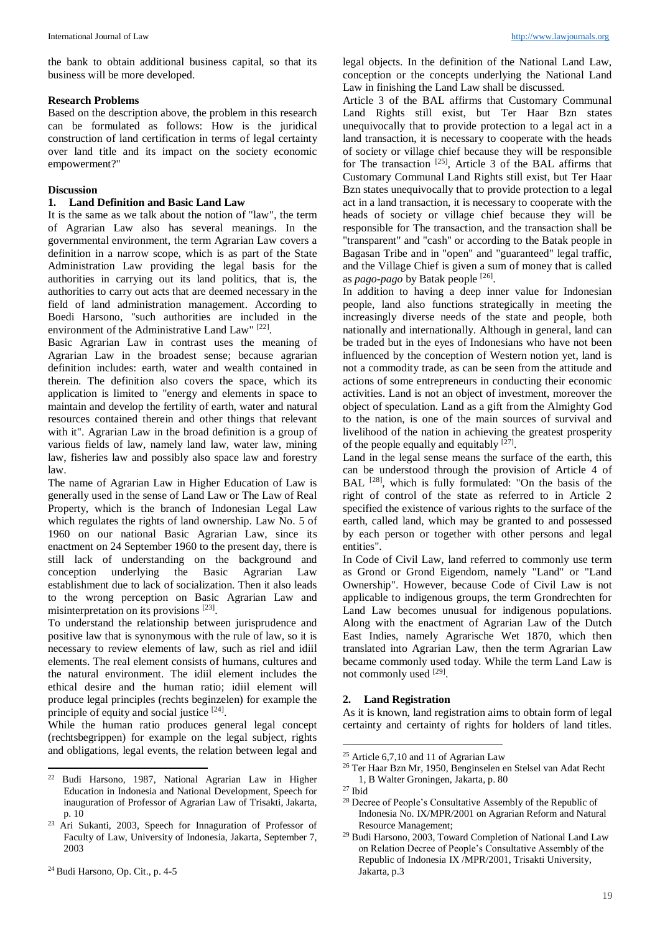the bank to obtain additional business capital, so that its business will be more developed.

#### **Research Problems**

Based on the description above, the problem in this research can be formulated as follows: How is the juridical construction of land certification in terms of legal certainty over land title and its impact on the society economic empowerment?"

## **Discussion**

### **1. Land Definition and Basic Land Law**

It is the same as we talk about the notion of "law", the term of Agrarian Law also has several meanings. In the governmental environment, the term Agrarian Law covers a definition in a narrow scope, which is as part of the State Administration Law providing the legal basis for the authorities in carrying out its land politics, that is, the authorities to carry out acts that are deemed necessary in the field of land administration management. According to Boedi Harsono, "such authorities are included in the environment of the Administrative Land Law"<sup>[22]</sup>.

Basic Agrarian Law in contrast uses the meaning of Agrarian Law in the broadest sense; because agrarian definition includes: earth, water and wealth contained in therein. The definition also covers the space, which its application is limited to "energy and elements in space to maintain and develop the fertility of earth, water and natural resources contained therein and other things that relevant with it". Agrarian Law in the broad definition is a group of various fields of law, namely land law, water law, mining law, fisheries law and possibly also space law and forestry law.

The name of Agrarian Law in Higher Education of Law is generally used in the sense of Land Law or The Law of Real Property, which is the branch of Indonesian Legal Law which regulates the rights of land ownership. Law No. 5 of 1960 on our national Basic Agrarian Law, since its enactment on 24 September 1960 to the present day, there is still lack of understanding on the background and conception underlying the Basic Agrarian Law establishment due to lack of socialization. Then it also leads to the wrong perception on Basic Agrarian Law and misinterpretation on its provisions [23].

To understand the relationship between jurisprudence and positive law that is synonymous with the rule of law, so it is necessary to review elements of law, such as riel and idiil elements. The real element consists of humans, cultures and the natural environment. The idiil element includes the ethical desire and the human ratio; idiil element will produce legal principles (rechts beginzelen) for example the principle of equity and social justice [24].

While the human ratio produces general legal concept (rechtsbegrippen) for example on the legal subject, rights and obligations, legal events, the relation between legal and

 $\overline{a}$ 

legal objects. In the definition of the National Land Law, conception or the concepts underlying the National Land Law in finishing the Land Law shall be discussed.

Article 3 of the BAL affirms that Customary Communal Land Rights still exist, but Ter Haar Bzn states unequivocally that to provide protection to a legal act in a land transaction, it is necessary to cooperate with the heads of society or village chief because they will be responsible for The transaction  $^{[25]}$ , Article 3 of the BAL affirms that Customary Communal Land Rights still exist, but Ter Haar Bzn states unequivocally that to provide protection to a legal act in a land transaction, it is necessary to cooperate with the heads of society or village chief because they will be responsible for The transaction, and the transaction shall be "transparent" and "cash" or according to the Batak people in Bagasan Tribe and in "open" and "guaranteed" legal traffic, and the Village Chief is given a sum of money that is called as *pago-pago* by Batak people [26].

In addition to having a deep inner value for Indonesian people, land also functions strategically in meeting the increasingly diverse needs of the state and people, both nationally and internationally. Although in general, land can be traded but in the eyes of Indonesians who have not been influenced by the conception of Western notion yet, land is not a commodity trade, as can be seen from the attitude and actions of some entrepreneurs in conducting their economic activities. Land is not an object of investment, moreover the object of speculation. Land as a gift from the Almighty God to the nation, is one of the main sources of survival and livelihood of the nation in achieving the greatest prosperity of the people equally and equitably  $[27]$ .

Land in the legal sense means the surface of the earth, this can be understood through the provision of Article 4 of BAL <sup>[28]</sup>, which is fully formulated: "On the basis of the right of control of the state as referred to in Article 2 specified the existence of various rights to the surface of the earth, called land, which may be granted to and possessed by each person or together with other persons and legal entities".

In Code of Civil Law, land referred to commonly use term as Grond or Grond Eigendom, namely "Land" or "Land Ownership". However, because Code of Civil Law is not applicable to indigenous groups, the term Grondrechten for Land Law becomes unusual for indigenous populations. Along with the enactment of Agrarian Law of the Dutch East Indies, namely Agrarische Wet 1870, which then translated into Agrarian Law, then the term Agrarian Law became commonly used today. While the term Land Law is not commonly used [29].

### **2. Land Registration**

As it is known, land registration aims to obtain form of legal certainty and certainty of rights for holders of land titles.

1

<sup>22</sup> Budi Harsono, 1987, National Agrarian Law in Higher Education in Indonesia and National Development, Speech for inauguration of Professor of Agrarian Law of Trisakti, Jakarta, p. 10

<sup>23</sup> Ari Sukanti, 2003, Speech for Innaguration of Professor of Faculty of Law, University of Indonesia, Jakarta, September 7, 2003

<sup>25</sup> Article 6,7,10 and 11 of Agrarian Law

<sup>26</sup> Ter Haar Bzn Mr, 1950, Benginselen en Stelsel van Adat Recht 1, B Walter Groningen, Jakarta, p. 80

<sup>27</sup> Ibid

<sup>28</sup> Decree of People's Consultative Assembly of the Republic of Indonesia No. IX/MPR/2001 on Agrarian Reform and Natural Resource Management;

<sup>29</sup> Budi Harsono, 2003, Toward Completion of National Land Law on Relation Decree of People's Consultative Assembly of the Republic of Indonesia IX /MPR/2001, Trisakti University, Jakarta, p.3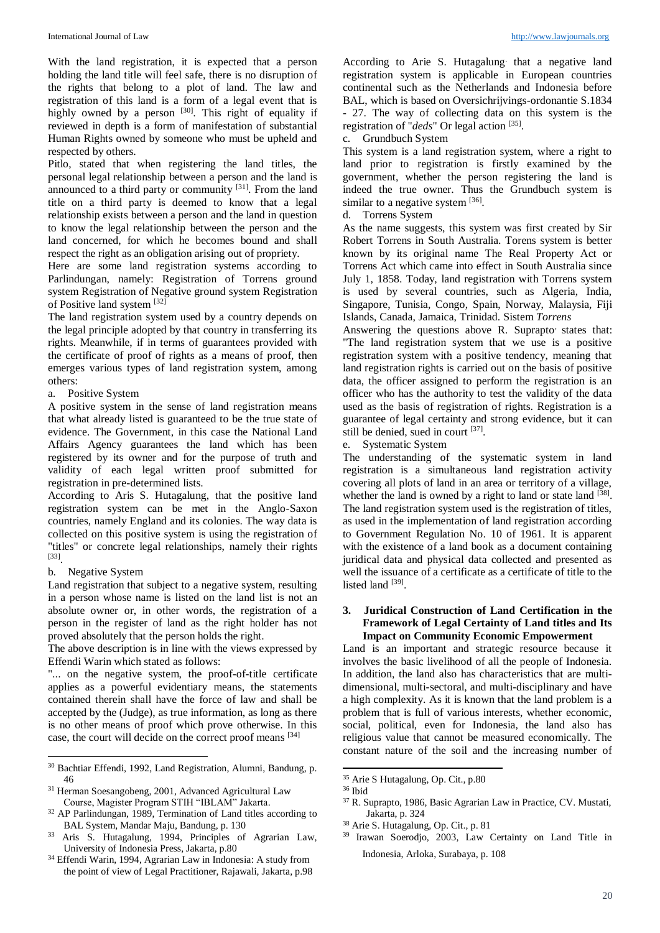With the land registration, it is expected that a person holding the land title will feel safe, there is no disruption of the rights that belong to a plot of land. The law and registration of this land is a form of a legal event that is highly owned by a person [30]. This right of equality if reviewed in depth is a form of manifestation of substantial Human Rights owned by someone who must be upheld and respected by others.

Pitlo, stated that when registering the land titles, the personal legal relationship between a person and the land is announced to a third party or community  $[31]$ . From the land title on a third party is deemed to know that a legal relationship exists between a person and the land in question to know the legal relationship between the person and the land concerned, for which he becomes bound and shall respect the right as an obligation arising out of propriety.

Here are some land registration systems according to Parlindungan, namely: Registration of Torrens ground system Registration of Negative ground system Registration of Positive land system [32]

The land registration system used by a country depends on the legal principle adopted by that country in transferring its rights. Meanwhile, if in terms of guarantees provided with the certificate of proof of rights as a means of proof, then emerges various types of land registration system, among others:

a. Positive System

A positive system in the sense of land registration means that what already listed is guaranteed to be the true state of evidence. The Government, in this case the National Land Affairs Agency guarantees the land which has been registered by its owner and for the purpose of truth and validity of each legal written proof submitted for registration in pre-determined lists.

According to Aris S. Hutagalung, that the positive land registration system can be met in the Anglo-Saxon countries, namely England and its colonies. The way data is collected on this positive system is using the registration of "titles" or concrete legal relationships, namely their rights [33] .

b. Negative System

Land registration that subject to a negative system, resulting in a person whose name is listed on the land list is not an absolute owner or, in other words, the registration of a person in the register of land as the right holder has not proved absolutely that the person holds the right.

The above description is in line with the views expressed by Effendi Warin which stated as follows:

"... on the negative system, the proof-of-title certificate applies as a powerful evidentiary means, the statements contained therein shall have the force of law and shall be accepted by the (Judge), as true information, as long as there is no other means of proof which prove otherwise. In this case, the court will decide on the correct proof means [34]

According to Arie S. Hutagalung. that a negative land registration system is applicable in European countries continental such as the Netherlands and Indonesia before BAL, which is based on Oversichrijvings-ordonantie S.1834 - 27. The way of collecting data on this system is the registration of "*deds*" Or legal action [35].

c. Grundbuch System

This system is a land registration system, where a right to land prior to registration is firstly examined by the government, whether the person registering the land is indeed the true owner. Thus the Grundbuch system is similar to a negative system [36].

d. Torrens System

As the name suggests, this system was first created by Sir Robert Torrens in South Australia. Torens system is better known by its original name The Real Property Act or Torrens Act which came into effect in South Australia since July 1, 1858. Today, land registration with Torrens system is used by several countries, such as Algeria, India, Singapore, Tunisia, Congo, Spain, Norway, Malaysia, Fiji Islands, Canada, Jamaica, Trinidad. Sistem *Torrens*

Answering the questions above R. Suprapto states that: "The land registration system that we use is a positive registration system with a positive tendency, meaning that land registration rights is carried out on the basis of positive data, the officer assigned to perform the registration is an officer who has the authority to test the validity of the data used as the basis of registration of rights. Registration is a guarantee of legal certainty and strong evidence, but it can still be denied, sued in court [37].

e. Systematic System

The understanding of the systematic system in land registration is a simultaneous land registration activity covering all plots of land in an area or territory of a village, whether the land is owned by a right to land or state land [38]. The land registration system used is the registration of titles, as used in the implementation of land registration according to Government Regulation No. 10 of 1961. It is apparent with the existence of a land book as a document containing juridical data and physical data collected and presented as well the issuance of a certificate as a certificate of title to the listed land [39].

## **3. Juridical Construction of Land Certification in the Framework of Legal Certainty of Land titles and Its Impact on Community Economic Empowerment**

Land is an important and strategic resource because it involves the basic livelihood of all the people of Indonesia. In addition, the land also has characteristics that are multidimensional, multi-sectoral, and multi-disciplinary and have a high complexity. As it is known that the land problem is a problem that is full of various interests, whether economic, social, political, even for Indonesia, the land also has religious value that cannot be measured economically. The constant nature of the soil and the increasing number of

.

 $\overline{a}$ <sup>30</sup> Bachtiar Effendi, 1992, Land Registration, Alumni, Bandung, p. 46

<sup>31</sup> Herman Soesangobeng, 2001, Advanced Agricultural Law Course, Magister Program STIH "IBLAM" Jakarta.

<sup>32</sup> AP Parlindungan, 1989, Termination of Land titles according to BAL System, Mandar Maju, Bandung, p. 130

<sup>33</sup> Aris S. Hutagalung, 1994, Principles of Agrarian Law, University of Indonesia Press, Jakarta, p.80

<sup>34</sup> Effendi Warin, 1994, Agrarian Law in Indonesia: A study from the point of view of Legal Practitioner, Rajawali, Jakarta, p.98

<sup>35</sup> Arie S Hutagalung, Op. Cit., p.80

<sup>36</sup> Ibid

<sup>37</sup> R. Suprapto, 1986, Basic Agrarian Law in Practice, CV. Mustati, Jakarta, p. 324

<sup>38</sup> Arie S. Hutagalung, Op. Cit., p. 81

<sup>39</sup> Irawan Soerodjo, 2003, Law Certainty on Land Title in Indonesia, Arloka, Surabaya, p. 108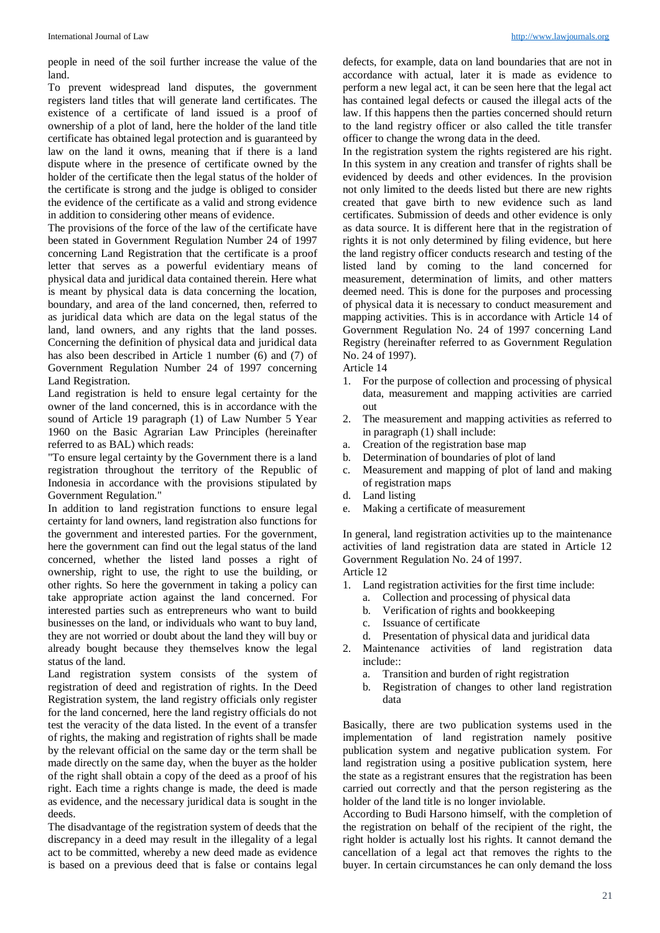people in need of the soil further increase the value of the land.

To prevent widespread land disputes, the government registers land titles that will generate land certificates. The existence of a certificate of land issued is a proof of ownership of a plot of land, here the holder of the land title certificate has obtained legal protection and is guaranteed by law on the land it owns, meaning that if there is a land dispute where in the presence of certificate owned by the holder of the certificate then the legal status of the holder of the certificate is strong and the judge is obliged to consider the evidence of the certificate as a valid and strong evidence in addition to considering other means of evidence.

The provisions of the force of the law of the certificate have been stated in Government Regulation Number 24 of 1997 concerning Land Registration that the certificate is a proof letter that serves as a powerful evidentiary means of physical data and juridical data contained therein. Here what is meant by physical data is data concerning the location, boundary, and area of the land concerned, then, referred to as juridical data which are data on the legal status of the land, land owners, and any rights that the land posses. Concerning the definition of physical data and juridical data has also been described in Article 1 number (6) and (7) of Government Regulation Number 24 of 1997 concerning Land Registration.

Land registration is held to ensure legal certainty for the owner of the land concerned, this is in accordance with the sound of Article 19 paragraph (1) of Law Number 5 Year 1960 on the Basic Agrarian Law Principles (hereinafter referred to as BAL) which reads:

"To ensure legal certainty by the Government there is a land registration throughout the territory of the Republic of Indonesia in accordance with the provisions stipulated by Government Regulation."

In addition to land registration functions to ensure legal certainty for land owners, land registration also functions for the government and interested parties. For the government, here the government can find out the legal status of the land concerned, whether the listed land posses a right of ownership, right to use, the right to use the building, or other rights. So here the government in taking a policy can take appropriate action against the land concerned. For interested parties such as entrepreneurs who want to build businesses on the land, or individuals who want to buy land, they are not worried or doubt about the land they will buy or already bought because they themselves know the legal status of the land.

Land registration system consists of the system of registration of deed and registration of rights. In the Deed Registration system, the land registry officials only register for the land concerned, here the land registry officials do not test the veracity of the data listed. In the event of a transfer of rights, the making and registration of rights shall be made by the relevant official on the same day or the term shall be made directly on the same day, when the buyer as the holder of the right shall obtain a copy of the deed as a proof of his right. Each time a rights change is made, the deed is made as evidence, and the necessary juridical data is sought in the deeds.

The disadvantage of the registration system of deeds that the discrepancy in a deed may result in the illegality of a legal act to be committed, whereby a new deed made as evidence is based on a previous deed that is false or contains legal

defects, for example, data on land boundaries that are not in accordance with actual, later it is made as evidence to perform a new legal act, it can be seen here that the legal act has contained legal defects or caused the illegal acts of the law. If this happens then the parties concerned should return to the land registry officer or also called the title transfer officer to change the wrong data in the deed.

In the registration system the rights registered are his right. In this system in any creation and transfer of rights shall be evidenced by deeds and other evidences. In the provision not only limited to the deeds listed but there are new rights created that gave birth to new evidence such as land certificates. Submission of deeds and other evidence is only as data source. It is different here that in the registration of rights it is not only determined by filing evidence, but here the land registry officer conducts research and testing of the listed land by coming to the land concerned for measurement, determination of limits, and other matters deemed need. This is done for the purposes and processing of physical data it is necessary to conduct measurement and mapping activities. This is in accordance with Article 14 of Government Regulation No. 24 of 1997 concerning Land Registry (hereinafter referred to as Government Regulation No. 24 of 1997).

Article 14

- 1. For the purpose of collection and processing of physical data, measurement and mapping activities are carried out
- 2. The measurement and mapping activities as referred to in paragraph (1) shall include:
- a. Creation of the registration base map
- b. Determination of boundaries of plot of land
- c. Measurement and mapping of plot of land and making of registration maps
- d. Land listing
- e. Making a certificate of measurement

In general, land registration activities up to the maintenance activities of land registration data are stated in Article 12 Government Regulation No. 24 of 1997. Article 12

- 1. Land registration activities for the first time include:
	- a. Collection and processing of physical data
	- b. Verification of rights and bookkeeping
	- c. Issuance of certificate
	- d. Presentation of physical data and juridical data
- 2. Maintenance activities of land registration data include::
	- a. Transition and burden of right registration
	- b. Registration of changes to other land registration data

Basically, there are two publication systems used in the implementation of land registration namely positive publication system and negative publication system. For land registration using a positive publication system, here the state as a registrant ensures that the registration has been carried out correctly and that the person registering as the holder of the land title is no longer inviolable.

According to Budi Harsono himself, with the completion of the registration on behalf of the recipient of the right, the right holder is actually lost his rights. It cannot demand the cancellation of a legal act that removes the rights to the buyer. In certain circumstances he can only demand the loss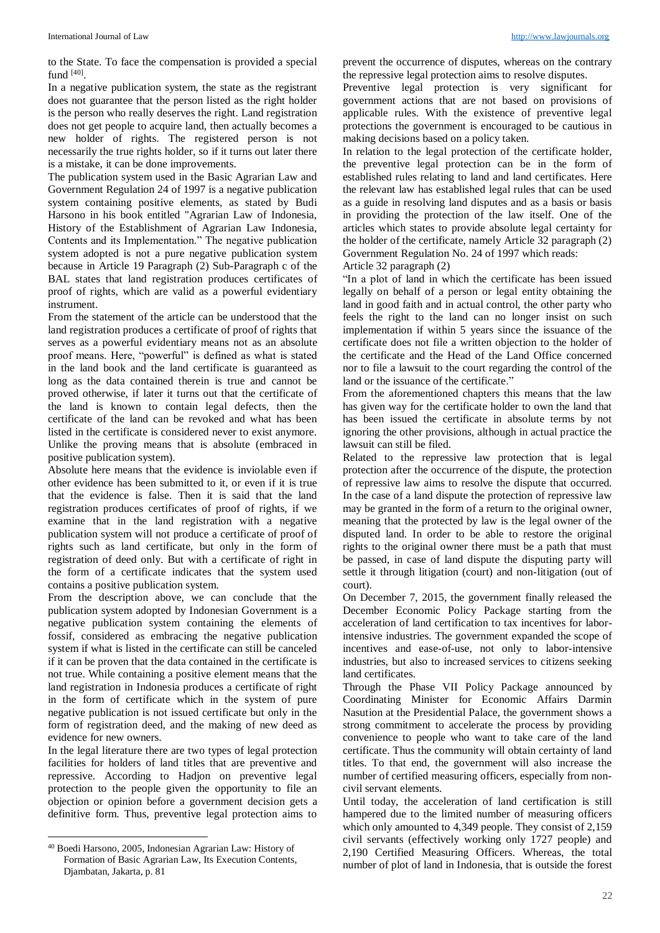to the State. To face the compensation is provided a special fund  $[40]$ .

In a negative publication system, the state as the registrant does not guarantee that the person listed as the right holder is the person who really deserves the right. Land registration does not get people to acquire land, then actually becomes a new holder of rights. The registered person is not necessarily the true rights holder, so if it turns out later there is a mistake, it can be done improvements.

The publication system used in the Basic Agrarian Law and Government Regulation 24 of 1997 is a negative publication system containing positive elements, as stated by Budi Harsono in his book entitled "Agrarian Law of Indonesia, History of the Establishment of Agrarian Law Indonesia, Contents and its Implementation." The negative publication system adopted is not a pure negative publication system because in Article 19 Paragraph (2) Sub-Paragraph c of the BAL states that land registration produces certificates of proof of rights, which are valid as a powerful evidentiary instrument.

From the statement of the article can be understood that the land registration produces a certificate of proof of rights that serves as a powerful evidentiary means not as an absolute proof means. Here, "powerful" is defined as what is stated in the land book and the land certificate is guaranteed as long as the data contained therein is true and cannot be proved otherwise, if later it turns out that the certificate of the land is known to contain legal defects, then the certificate of the land can be revoked and what has been listed in the certificate is considered never to exist anymore. Unlike the proving means that is absolute (embraced in positive publication system).

Absolute here means that the evidence is inviolable even if other evidence has been submitted to it, or even if it is true that the evidence is false. Then it is said that the land registration produces certificates of proof of rights, if we examine that in the land registration with a negative publication system will not produce a certificate of proof of rights such as land certificate, but only in the form of registration of deed only. But with a certificate of right in the form of a certificate indicates that the system used contains a positive publication system.

From the description above, we can conclude that the publication system adopted by Indonesian Government is a negative publication system containing the elements of fossif, considered as embracing the negative publication system if what is listed in the certificate can still be canceled if it can be proven that the data contained in the certificate is not true. While containing a positive element means that the land registration in Indonesia produces a certificate of right in the form of certificate which in the system of pure negative publication is not issued certificate but only in the form of registration deed, and the making of new deed as evidence for new owners.

In the legal literature there are two types of legal protection facilities for holders of land titles that are preventive and repressive. According to Hadjon on preventive legal protection to the people given the opportunity to file an objection or opinion before a government decision gets a definitive form. Thus, preventive legal protection aims to

l

prevent the occurrence of disputes, whereas on the contrary the repressive legal protection aims to resolve disputes.

Preventive legal protection is very significant for government actions that are not based on provisions of applicable rules. With the existence of preventive legal protections the government is encouraged to be cautious in making decisions based on a policy taken.

In relation to the legal protection of the certificate holder, the preventive legal protection can be in the form of established rules relating to land and land certificates. Here the relevant law has established legal rules that can be used as a guide in resolving land disputes and as a basis or basis in providing the protection of the law itself. One of the articles which states to provide absolute legal certainty for the holder of the certificate, namely Article 32 paragraph (2) Government Regulation No. 24 of 1997 which reads: Article 32 paragraph (2)

"In a plot of land in which the certificate has been issued legally on behalf of a person or legal entity obtaining the land in good faith and in actual control, the other party who feels the right to the land can no longer insist on such implementation if within 5 years since the issuance of the certificate does not file a written objection to the holder of the certificate and the Head of the Land Office concerned nor to file a lawsuit to the court regarding the control of the land or the issuance of the certificate."

From the aforementioned chapters this means that the law has given way for the certificate holder to own the land that has been issued the certificate in absolute terms by not ignoring the other provisions, although in actual practice the lawsuit can still be filed.

Related to the repressive law protection that is legal protection after the occurrence of the dispute, the protection of repressive law aims to resolve the dispute that occurred. In the case of a land dispute the protection of repressive law may be granted in the form of a return to the original owner, meaning that the protected by law is the legal owner of the disputed land. In order to be able to restore the original rights to the original owner there must be a path that must be passed, in case of land dispute the disputing party will settle it through litigation (court) and non-litigation (out of court).

On December 7, 2015, the government finally released the December Economic Policy Package starting from the acceleration of land certification to tax incentives for laborintensive industries. The government expanded the scope of incentives and ease-of-use, not only to labor-intensive industries, but also to increased services to citizens seeking land certificates.

Through the Phase VII Policy Package announced by Coordinating Minister for Economic Affairs Darmin Nasution at the Presidential Palace, the government shows a strong commitment to accelerate the process by providing convenience to people who want to take care of the land certificate. Thus the community will obtain certainty of land titles. To that end, the government will also increase the number of certified measuring officers, especially from noncivil servant elements.

Until today, the acceleration of land certification is still hampered due to the limited number of measuring officers which only amounted to 4,349 people. They consist of 2,159 civil servants (effectively working only 1727 people) and 2,190 Certified Measuring Officers. Whereas, the total number of plot of land in Indonesia, that is outside the forest

<sup>40</sup> Boedi Harsono, 2005, Indonesian Agrarian Law: History of Formation of Basic Agrarian Law, Its Execution Contents, Djambatan, Jakarta, p. 81